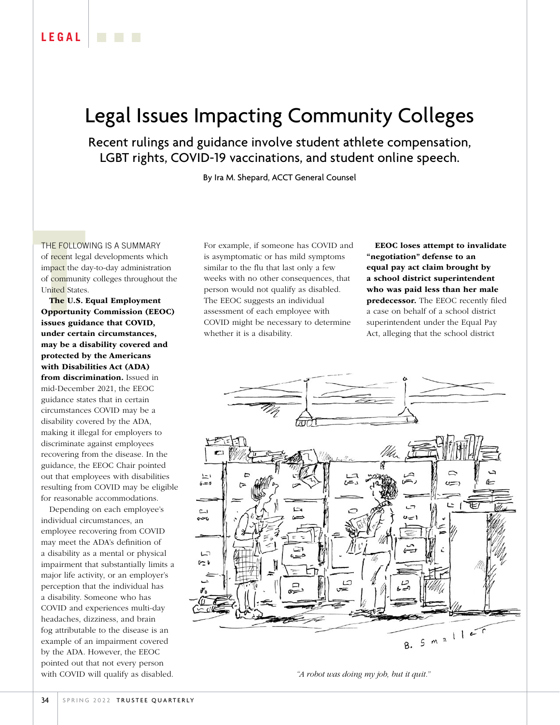## Legal Issues Impacting Community Colleges

Recent rulings and guidance involve student athlete compensation, LGBT rights, COVID-19 vaccinations, and student online speech.

By Ira M. Shepard, ACCT General Counsel

THE FOLLOW<br>of recent lega<br>impact the day<br>of community<br>United States<br>**The U.S. I**<br>**Opportunity**<br>issues guiday THE FOLLOWING IS A SUMMARY of recent legal developments which impact the day-to-day administration of community colleges throughout the United States.

The U.S. Equal Employment Opportunity Commission (EEOC) issues guidance that COVID, under certain circumstances, may be a disability covered and protected by the Americans with Disabilities Act (ADA) from discrimination. Issued in mid-December 2021, the EEOC guidance states that in certain circumstances COVID may be a disability covered by the ADA, making it illegal for employers to discriminate against employees recovering from the disease. In the guidance, the EEOC Chair pointed out that employees with disabilities resulting from COVID may be eligible for reasonable accommodations.

Depending on each employee's individual circumstances, an employee recovering from COVID may meet the ADA's definition of a disability as a mental or physical impairment that substantially limits a major life activity, or an employer's perception that the individual has a disability. Someone who has COVID and experiences multi-day headaches, dizziness, and brain fog attributable to the disease is an example of an impairment covered by the ADA. However, the EEOC pointed out that not every person with COVID will qualify as disabled.

For example, if someone has COVID and is asymptomatic or has mild symptoms similar to the flu that last only a few weeks with no other consequences, that person would not qualify as disabled. The EEOC suggests an individual assessment of each employee with COVID might be necessary to determine whether it is a disability.

EEOC loses attempt to invalidate "negotiation" defense to an equal pay act claim brought by a school district superintendent who was paid less than her male predecessor. The EEOC recently filed a case on behalf of a school district superintendent under the Equal Pay Act, alleging that the school district



*"A robot was doing my job, but it quit."*